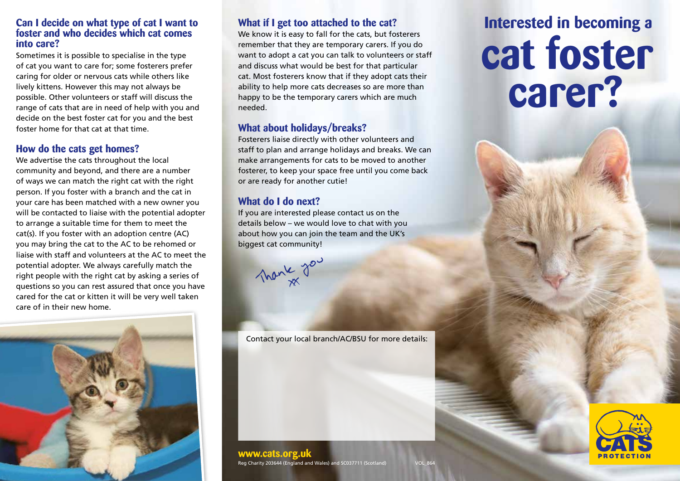#### **Can I decide on what type of cat I want to foster and who decides which cat comes into care?**

Sometimes it is possible to specialise in the type of cat you want to care for; some fosterers prefer caring for older or nervous cats while others like lively kittens. However this may not always be possible. Other volunteers or staff will discuss the range of cats that are in need of help with you and decide on the best foster cat for you and the best foster home for that cat at that time.

#### **How do the cats get homes?**

We advertise the cats throughout the local community and beyond, and there are a number of ways we can match the right cat with the right person. If you foster with a branch and the cat in your care has been matched with a new owner you will be contacted to liaise with the potential adopter to arrange a suitable time for them to meet the cat(s). If you foster with an adoption centre (AC) you may bring the cat to the AC to be rehomed or liaise with staff and volunteers at the AC to meet the potential adopter. We always carefully match the right people with the right cat by asking a series of questions so you can rest assured that once you have cared for the cat or kitten it will be very well taken care of in their new home.



#### **What if I get too attached to the cat?**

We know it is easy to fall for the cats, but fosterers remember that they are temporary carers. If you do want to adopt a cat you can talk to volunteers or staff and discuss what would be best for that particular cat. Most fosterers know that if they adopt cats their ability to help more cats decreases so are more than happy to be the temporary carers which are much needed.

#### **What about holidays/breaks?**

Fosterers liaise directly with other volunteers and staff to plan and arrange holidays and breaks. We can make arrangements for cats to be moved to another fosterer, to keep your space free until you come back or are ready for another cutie!

### **What do I do next?**

If you are interested please contact us on the details below – we would love to chat with you about how you can join the team and the UK's biggest cat community!



Contact your local branch/AC/BSU for more details:

# **cat foster carer? Interested in becoming a**



#### **www.cats.org.uk**

Reg Charity 203644 (England and Wales) and SC037711 (Scotland)